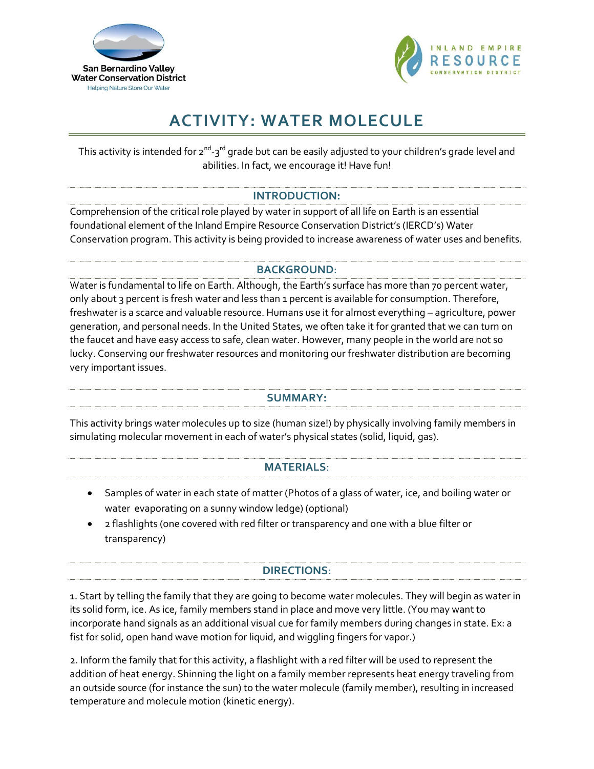



# **ACTIVITY: WATER MOLECULE**

This activity is intended for 2<sup>nd</sup>-3<sup>rd</sup> grade but can be easily adjusted to your children's grade level and abilities. In fact, we encourage it! Have fun!

# **INTRODUCTION:**

Comprehension of the critical role played by water in support of all life on Earth is an essential foundational element of the Inland Empire Resource Conservation District's (IERCD's) Water Conservation program. This activity is being provided to increase awareness of water uses and benefits.

# **BACKGROUND**:

Water is fundamental to life on Earth. Although, the Earth's surface has more than 70 percent water, only about 3 percent is fresh water and less than 1 percent is available for consumption. Therefore, freshwater is a scarce and valuable resource. Humans use it for almost everything – agriculture, power generation, and personal needs. In the United States, we often take it for granted that we can turn on the faucet and have easy access to safe, clean water. However, many people in the world are not so lucky. Conserving our freshwater resources and monitoring our freshwater distribution are becoming very important issues.

#### **SUMMARY:**

This activity brings water molecules up to size (human size!) by physically involving family members in simulating molecular movement in each of water's physical states (solid, liquid, gas).

# **MATERIALS**:

- Samples of water in each state of matter (Photos of a glass of water, ice, and boiling water or water evaporating on a sunny window ledge) (optional)
- 2 flashlights (one covered with red filter or transparency and one with a blue filter or transparency)

# **DIRECTIONS**:

1. Start by telling the family that they are going to become water molecules. They will begin as water in its solid form, ice. As ice, family members stand in place and move very little. (You may want to incorporate hand signals as an additional visual cue for family members during changes in state. Ex: a fist for solid, open hand wave motion for liquid, and wiggling fingers for vapor.)

2. Inform the family that for this activity, a flashlight with a red filter will be used to represent the addition of heat energy. Shinning the light on a family member represents heat energy traveling from an outside source (for instance the sun) to the water molecule (family member), resulting in increased temperature and molecule motion (kinetic energy).